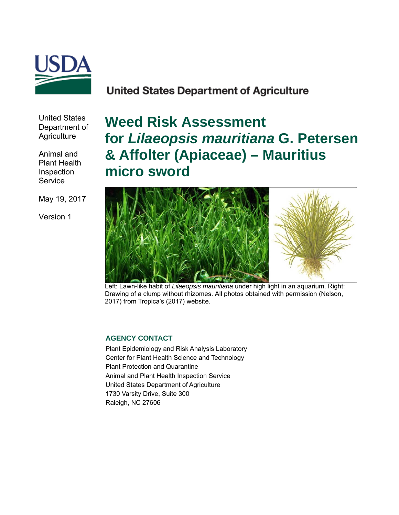

# **United States Department of Agriculture**

United States Department of **Agriculture** 

Animal and Plant Health Inspection **Service** 

May 19, 2017

Version 1

**Weed Risk Assessment for** *Lilaeopsis mauritiana* **G. Petersen & Affolter (Apiaceae) – Mauritius micro sword**



Left: Lawn-like habit of *Lilaeopsis mauritiana* under high light in an aquarium. Right: Drawing of a clump without rhizomes. All photos obtained with permission (Nelson, 2017) from Tropica's (2017) website.

#### **AGENCY CONTACT**

Plant Epidemiology and Risk Analysis Laboratory Center for Plant Health Science and Technology Plant Protection and Quarantine Animal and Plant Health Inspection Service United States Department of Agriculture 1730 Varsity Drive, Suite 300 Raleigh, NC 27606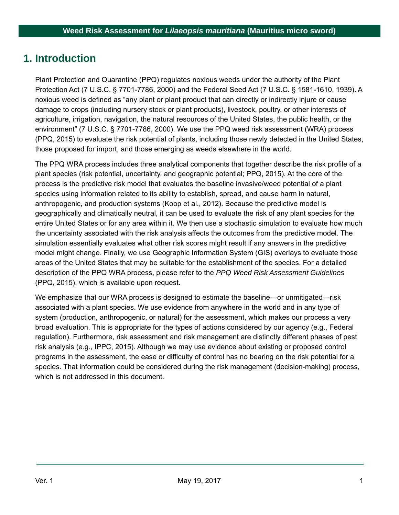## **1. Introduction**

Plant Protection and Quarantine (PPQ) regulates noxious weeds under the authority of the Plant Protection Act (7 U.S.C. § 7701-7786, 2000) and the Federal Seed Act (7 U.S.C. § 1581-1610, 1939). A noxious weed is defined as "any plant or plant product that can directly or indirectly injure or cause damage to crops (including nursery stock or plant products), livestock, poultry, or other interests of agriculture, irrigation, navigation, the natural resources of the United States, the public health, or the environment" (7 U.S.C. § 7701-7786, 2000). We use the PPQ weed risk assessment (WRA) process (PPQ, 2015) to evaluate the risk potential of plants, including those newly detected in the United States, those proposed for import, and those emerging as weeds elsewhere in the world.

The PPQ WRA process includes three analytical components that together describe the risk profile of a plant species (risk potential, uncertainty, and geographic potential; PPQ, 2015). At the core of the process is the predictive risk model that evaluates the baseline invasive/weed potential of a plant species using information related to its ability to establish, spread, and cause harm in natural, anthropogenic, and production systems (Koop et al., 2012). Because the predictive model is geographically and climatically neutral, it can be used to evaluate the risk of any plant species for the entire United States or for any area within it. We then use a stochastic simulation to evaluate how much the uncertainty associated with the risk analysis affects the outcomes from the predictive model. The simulation essentially evaluates what other risk scores might result if any answers in the predictive model might change. Finally, we use Geographic Information System (GIS) overlays to evaluate those areas of the United States that may be suitable for the establishment of the species. For a detailed description of the PPQ WRA process, please refer to the *PPQ Weed Risk Assessment Guidelines*  (PPQ, 2015), which is available upon request.

We emphasize that our WRA process is designed to estimate the baseline—or unmitigated—risk associated with a plant species. We use evidence from anywhere in the world and in any type of system (production, anthropogenic, or natural) for the assessment, which makes our process a very broad evaluation. This is appropriate for the types of actions considered by our agency (e.g., Federal regulation). Furthermore, risk assessment and risk management are distinctly different phases of pest risk analysis (e.g., IPPC, 2015). Although we may use evidence about existing or proposed control programs in the assessment, the ease or difficulty of control has no bearing on the risk potential for a species. That information could be considered during the risk management (decision-making) process, which is not addressed in this document.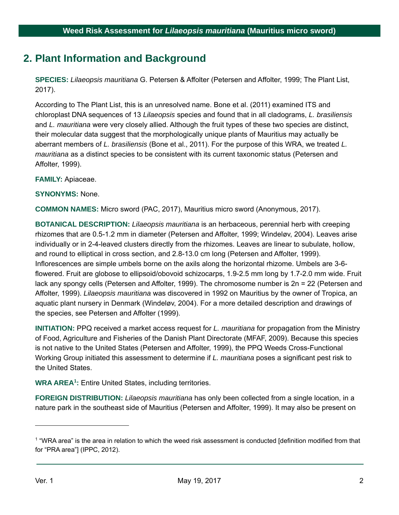# **2. Plant Information and Background**

**SPECIES:** *Lilaeopsis mauritiana* G. Petersen & Affolter (Petersen and Affolter, 1999; The Plant List, 2017).

According to The Plant List, this is an unresolved name. Bone et al. (2011) examined ITS and chloroplast DNA sequences of 13 *Lilaeopsis* species and found that in all cladograms, *L. brasiliensis* and *L. mauritiana* were very closely allied. Although the fruit types of these two species are distinct, their molecular data suggest that the morphologically unique plants of Mauritius may actually be aberrant members of *L. brasiliensis* (Bone et al., 2011). For the purpose of this WRA, we treated *L. mauritiana* as a distinct species to be consistent with its current taxonomic status (Petersen and Affolter, 1999).

**FAMILY:** Apiaceae.

**SYNONYMS:** None.

**COMMON NAMES:** Micro sword (PAC, 2017), Mauritius micro sword (Anonymous, 2017).

**BOTANICAL DESCRIPTION:** *Lilaeopsis mauritiana* is an herbaceous, perennial herb with creeping rhizomes that are 0.5-1.2 mm in diameter (Petersen and Affolter, 1999; Windeløv, 2004). Leaves arise individually or in 2-4-leaved clusters directly from the rhizomes. Leaves are linear to subulate, hollow, and round to elliptical in cross section, and 2.8-13.0 cm long (Petersen and Affolter, 1999). Inflorescences are simple umbels borne on the axils along the horizontal rhizome. Umbels are 3-6 flowered. Fruit are globose to ellipsoid/obovoid schizocarps, 1.9-2.5 mm long by 1.7-2.0 mm wide. Fruit lack any spongy cells (Petersen and Affolter, 1999). The chromosome number is 2n = 22 (Petersen and Affolter, 1999). *Lilaeopsis mauritiana* was discovered in 1992 on Mauritius by the owner of Tropica, an aquatic plant nursery in Denmark (Windeløv, 2004). For a more detailed description and drawings of the species, see Petersen and Affolter (1999).

**INITIATION:** PPQ received a market access request for *L. mauritiana* for propagation from the Ministry of Food, Agriculture and Fisheries of the Danish Plant Directorate (MFAF, 2009). Because this species is not native to the United States (Petersen and Affolter, 1999), the PPQ Weeds Cross-Functional Working Group initiated this assessment to determine if *L. mauritiana* poses a significant pest risk to the United States.

**WRA AREA1 :** Entire United States, including territories.

**FOREIGN DISTRIBUTION:** *Lilaeopsis mauritiana* has only been collected from a single location, in a nature park in the southeast side of Mauritius (Petersen and Affolter, 1999). It may also be present on

 $\overline{a}$ 

<sup>1 &</sup>quot;WRA area" is the area in relation to which the weed risk assessment is conducted [definition modified from that for "PRA area"] (IPPC, 2012).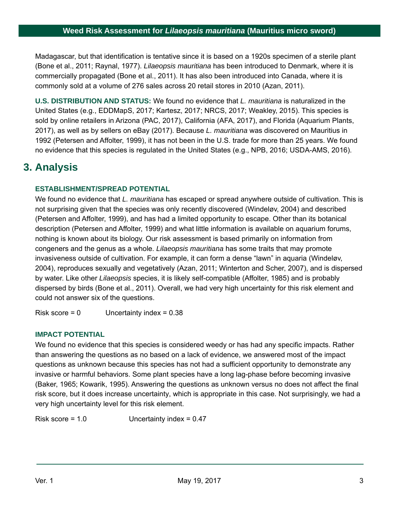Madagascar, but that identification is tentative since it is based on a 1920s specimen of a sterile plant (Bone et al., 2011; Raynal, 1977). *Lilaeopsis mauritiana* has been introduced to Denmark, where it is commercially propagated (Bone et al., 2011). It has also been introduced into Canada, where it is commonly sold at a volume of 276 sales across 20 retail stores in 2010 (Azan, 2011).

**U.S. DISTRIBUTION AND STATUS:** We found no evidence that *L. mauritiana* is naturalized in the United States (e.g., EDDMapS, 2017; Kartesz, 2017; NRCS, 2017; Weakley, 2015). This species is sold by online retailers in Arizona (PAC, 2017), California (AFA, 2017), and Florida (Aquarium Plants, 2017), as well as by sellers on eBay (2017). Because *L. mauritiana* was discovered on Mauritius in 1992 (Petersen and Affolter, 1999), it has not been in the U.S. trade for more than 25 years. We found no evidence that this species is regulated in the United States (e.g., NPB, 2016; USDA-AMS, 2016).

# **3. Analysis**

### **ESTABLISHMENT/SPREAD POTENTIAL**

We found no evidence that *L. mauritiana* has escaped or spread anywhere outside of cultivation. This is not surprising given that the species was only recently discovered (Windeløv, 2004) and described (Petersen and Affolter, 1999), and has had a limited opportunity to escape. Other than its botanical description (Petersen and Affolter, 1999) and what little information is available on aquarium forums, nothing is known about its biology. Our risk assessment is based primarily on information from congeners and the genus as a whole. *Lilaeopsis mauritiana* has some traits that may promote invasiveness outside of cultivation. For example, it can form a dense "lawn" in aquaria (Windeløv, 2004), reproduces sexually and vegetatively (Azan, 2011; Winterton and Scher, 2007), and is dispersed by water. Like other *Lilaeopsis* species, it is likely self-compatible (Affolter, 1985) and is probably dispersed by birds (Bone et al., 2011). Overall, we had very high uncertainty for this risk element and could not answer six of the questions.

Risk score = 0 Uncertainty index = 0.38

### **IMPACT POTENTIAL**

We found no evidence that this species is considered weedy or has had any specific impacts. Rather than answering the questions as no based on a lack of evidence, we answered most of the impact questions as unknown because this species has not had a sufficient opportunity to demonstrate any invasive or harmful behaviors. Some plant species have a long lag-phase before becoming invasive (Baker, 1965; Kowarik, 1995). Answering the questions as unknown versus no does not affect the final risk score, but it does increase uncertainty, which is appropriate in this case. Not surprisingly, we had a very high uncertainty level for this risk element.

Risk score = 1.0 Uncertainty index = 0.47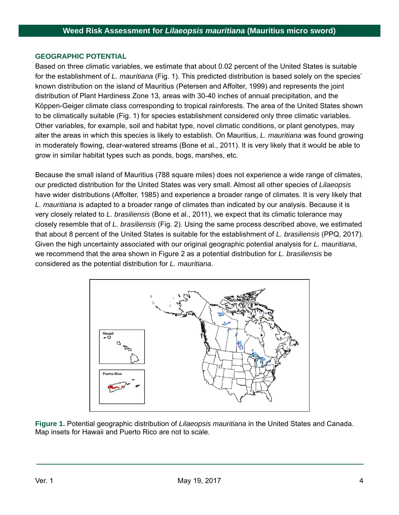#### **GEOGRAPHIC POTENTIAL**

Based on three climatic variables, we estimate that about 0.02 percent of the United States is suitable for the establishment of *L. mauritiana* (Fig. 1). This predicted distribution is based solely on the species' known distribution on the island of Mauritius (Petersen and Affolter, 1999) and represents the joint distribution of Plant Hardiness Zone 13, areas with 30-40 inches of annual precipitation, and the Köppen-Geiger climate class corresponding to tropical rainforests. The area of the United States shown to be climatically suitable (Fig. 1) for species establishment considered only three climatic variables. Other variables, for example, soil and habitat type, novel climatic conditions, or plant genotypes, may alter the areas in which this species is likely to establish. On Mauritius, *L. mauritiana* was found growing in moderately flowing, clear-watered streams (Bone et al., 2011). It is very likely that it would be able to grow in similar habitat types such as ponds, bogs, marshes, etc.

Because the small island of Mauritius (788 square miles) does not experience a wide range of climates, our predicted distribution for the United States was very small. Almost all other species of *Lilaeopsis* have wider distributions (Affolter, 1985) and experience a broader range of climates. It is very likely that *L. mauritiana* is adapted to a broader range of climates than indicated by our analysis. Because it is very closely related to *L. brasiliensis* (Bone et al., 2011), we expect that its climatic tolerance may closely resemble that of *L. brasiliensis* (Fig. 2). Using the same process described above, we estimated that about 8 percent of the United States is suitable for the establishment of *L. brasiliensis* (PPQ, 2017). Given the high uncertainty associated with our original geographic potential analysis for *L. mauritiana*, we recommend that the area shown in Figure 2 as a potential distribution for *L. brasiliensis* be considered as the potential distribution for *L. mauritiana*.



**Figure 1.** Potential geographic distribution of *Lilaeopsis mauritiana* in the United States and Canada. Map insets for Hawaii and Puerto Rico are not to scale.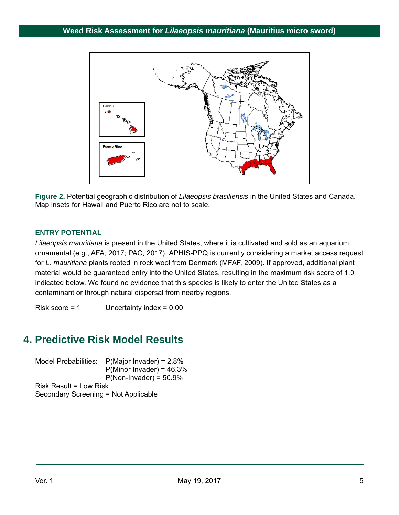

**Figure 2.** Potential geographic distribution of *Lilaeopsis brasiliensis* in the United States and Canada. Map insets for Hawaii and Puerto Rico are not to scale.

### **ENTRY POTENTIAL**

*Lilaeopsis mauritiana* is present in the United States, where it is cultivated and sold as an aquarium ornamental (e.g., AFA, 2017; PAC, 2017). APHIS-PPQ is currently considering a market access request for *L. mauritiana* plants rooted in rock wool from Denmark (MFAF, 2009). If approved, additional plant material would be guaranteed entry into the United States, resulting in the maximum risk score of 1.0 indicated below. We found no evidence that this species is likely to enter the United States as a contaminant or through natural dispersal from nearby regions.

Risk score = 1 Uncertainty index = 0.00

# **4. Predictive Risk Model Results**

Model Probabilities: P(Major Invader) = 2.8%  $P(Minor Invader) = 46.3%$  $P(Non-Invader) = 50.9%$ Risk Result = Low Risk Secondary Screening = Not Applicable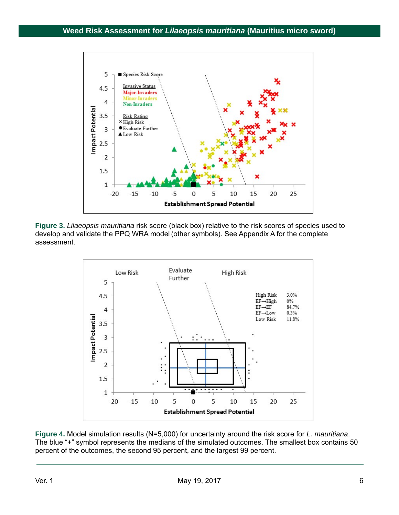

**Figure 3.** *Lilaeopsis mauritiana* risk score (black box) relative to the risk scores of species used to develop and validate the PPQ WRA model (other symbols). See Appendix A for the complete assessment.



**Figure 4.** Model simulation results (N=5,000) for uncertainty around the risk score for *L. mauritiana*. The blue "+" symbol represents the medians of the simulated outcomes. The smallest box contains 50 percent of the outcomes, the second 95 percent, and the largest 99 percent.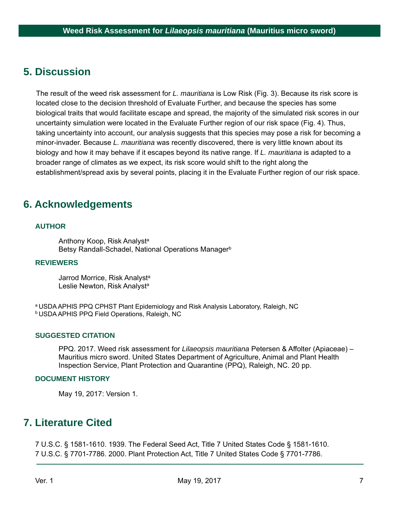## **5. Discussion**

The result of the weed risk assessment for *L. mauritiana* is Low Risk (Fig. 3). Because its risk score is located close to the decision threshold of Evaluate Further, and because the species has some biological traits that would facilitate escape and spread, the majority of the simulated risk scores in our uncertainty simulation were located in the Evaluate Further region of our risk space (Fig. 4). Thus, taking uncertainty into account, our analysis suggests that this species may pose a risk for becoming a minor-invader. Because *L. mauritiana* was recently discovered, there is very little known about its biology and how it may behave if it escapes beyond its native range. If *L. mauritiana* is adapted to a broader range of climates as we expect, its risk score would shift to the right along the establishment/spread axis by several points, placing it in the Evaluate Further region of our risk space.

## **6. Acknowledgements**

#### **AUTHOR**

Anthony Koop, Risk Analyst<sup>a</sup> Betsy Randall-Schadel, National Operations Manager<sup>b</sup>

#### **REVIEWERS**

Jarrod Morrice, Risk Analyst<sup>a</sup> Leslie Newton, Risk Analyst<sup>a</sup>

a USDA APHIS PPQ CPHST Plant Epidemiology and Risk Analysis Laboratory, Raleigh, NC **b USDA APHIS PPQ Field Operations, Raleigh, NC** 

#### **SUGGESTED CITATION**

PPQ. 2017. Weed risk assessment for *Lilaeopsis mauritiana* Petersen & Affolter (Apiaceae) – Mauritius micro sword. United States Department of Agriculture, Animal and Plant Health Inspection Service, Plant Protection and Quarantine (PPQ), Raleigh, NC. 20 pp.

#### **DOCUMENT HISTORY**

May 19, 2017: Version 1.

### **7. Literature Cited**

7 U.S.C. § 1581-1610. 1939. The Federal Seed Act, Title 7 United States Code § 1581-1610. 7 U.S.C. § 7701-7786. 2000. Plant Protection Act, Title 7 United States Code § 7701-7786.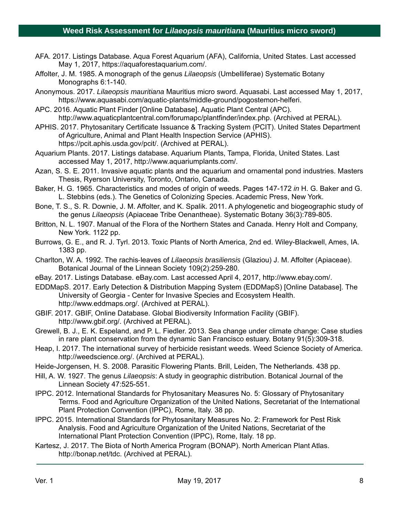- AFA. 2017. Listings Database. Aqua Forest Aquarium (AFA), California, United States. Last accessed May 1, 2017, https://aquaforestaquarium.com/.
- Affolter, J. M. 1985. A monograph of the genus *Lilaeopsis* (Umbelliferae) Systematic Botany Monographs 6:1-140.
- Anonymous. 2017. *Lilaeopsis mauritiana* Mauritius micro sword. Aquasabi. Last accessed May 1, 2017, https://www.aquasabi.com/aquatic-plants/middle-ground/pogostemon-helferi.
- APC. 2016. Aquatic Plant Finder [Online Database]. Aquatic Plant Central (APC). http://www.aquaticplantcentral.com/forumapc/plantfinder/index.php. (Archived at PERAL).
- APHIS. 2017. Phytosanitary Certificate Issuance & Tracking System (PCIT). United States Department of Agriculture, Animal and Plant Health Inspection Service (APHIS). https://pcit.aphis.usda.gov/pcit/. (Archived at PERAL).
- Aquarium Plants. 2017. Listings database. Aquarium Plants, Tampa, Florida, United States. Last accessed May 1, 2017, http://www.aquariumplants.com/.
- Azan, S. S. E. 2011. Invasive aquatic plants and the aquarium and ornamental pond industries. Masters Thesis, Ryerson University, Toronto, Ontario, Canada.
- Baker, H. G. 1965. Characteristics and modes of origin of weeds. Pages 147-172 *in* H. G. Baker and G. L. Stebbins (eds.). The Genetics of Colonizing Species. Academic Press, New York.
- Bone, T. S., S. R. Downie, J. M. Affolter, and K. Spalik. 2011. A phylogenetic and biogeographic study of the genus *Lilaeopsis* (Apiaceae Tribe Oenantheae). Systematic Botany 36(3):789-805.
- Britton, N. L. 1907. Manual of the Flora of the Northern States and Canada. Henry Holt and Company, New York. 1122 pp.
- Burrows, G. E., and R. J. Tyrl. 2013. Toxic Plants of North America, 2nd ed. Wiley-Blackwell, Ames, IA. 1383 pp.
- Charlton, W. A. 1992. The rachis‐leaves of *Lilaeopsis brasiliensis* (Glaziou) J. M. Affolter (Apiaceae). Botanical Journal of the Linnean Society 109(2):259-280.
- eBay. 2017. Listings Database. eBay.com. Last accessed April 4, 2017, http://www.ebay.com/.
- EDDMapS. 2017. Early Detection & Distribution Mapping System (EDDMapS) [Online Database]. The University of Georgia - Center for Invasive Species and Ecosystem Health. http://www.eddmaps.org/. (Archived at PERAL).
- GBIF. 2017. GBIF, Online Database. Global Biodiversity Information Facility (GBIF). http://www.gbif.org/. (Archived at PERAL).
- Grewell, B. J., E. K. Espeland, and P. L. Fiedler. 2013. Sea change under climate change: Case studies in rare plant conservation from the dynamic San Francisco estuary. Botany 91(5):309-318.
- Heap, I. 2017. The international survey of herbicide resistant weeds. Weed Science Society of America. http://weedscience.org/. (Archived at PERAL).
- Heide-Jorgensen, H. S. 2008. Parasitic Flowering Plants. Brill, Leiden, The Netherlands. 438 pp.
- Hill, A. W. 1927. The genus *Lilaeopsis*: A study in geographic distribution. Botanical Journal of the Linnean Society 47:525-551.
- IPPC. 2012. International Standards for Phytosanitary Measures No. 5: Glossary of Phytosanitary Terms. Food and Agriculture Organization of the United Nations, Secretariat of the International Plant Protection Convention (IPPC), Rome, Italy. 38 pp.
- IPPC. 2015. International Standards for Phytosanitary Measures No. 2: Framework for Pest Risk Analysis. Food and Agriculture Organization of the United Nations, Secretariat of the International Plant Protection Convention (IPPC), Rome, Italy. 18 pp.
- Kartesz, J. 2017. The Biota of North America Program (BONAP). North American Plant Atlas. http://bonap.net/tdc. (Archived at PERAL).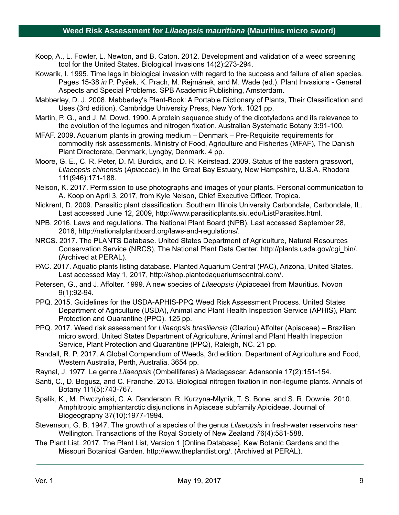- Koop, A., L. Fowler, L. Newton, and B. Caton. 2012. Development and validation of a weed screening tool for the United States. Biological Invasions 14(2):273-294.
- Kowarik, I. 1995. Time lags in biological invasion with regard to the success and failure of alien species. Pages 15-38 *in* P. Pyšek, K. Prach, M. Rejmánek, and M. Wade (ed.). Plant Invasions - General Aspects and Special Problems. SPB Academic Publishing, Amsterdam.
- Mabberley, D. J. 2008. Mabberley's Plant-Book: A Portable Dictionary of Plants, Their Classification and Uses (3rd edition). Cambridge University Press, New York. 1021 pp.
- Martin, P. G., and J. M. Dowd. 1990. A protein sequence study of the dicotyledons and its relevance to the evolution of the legumes and nitrogen fixation. Australian Systematic Botany 3:91-100.
- MFAF. 2009. Aquarium plants in growing medium Denmark Pre-Requisite requirements for commodity risk assessments. Ministry of Food, Agriculture and Fisheries (MFAF), The Danish Plant Directorate, Denmark, Lyngby, Denmark. 4 pp.
- Moore, G. E., C. R. Peter, D. M. Burdick, and D. R. Keirstead. 2009. Status of the eastern grasswort, *Lilaeopsis chinensis* (*Apiaceae*), in the Great Bay Estuary, New Hampshire, U.S.A. Rhodora 111(946):171-188.
- Nelson, K. 2017. Permission to use photographs and images of your plants. Personal communication to A. Koop on April 3, 2017, from Kyle Nelson, Chief Executive Officer, Tropica.
- Nickrent, D. 2009. Parasitic plant classification. Southern Illinois University Carbondale, Carbondale, IL. Last accessed June 12, 2009, http://www.parasiticplants.siu.edu/ListParasites.html.
- NPB. 2016. Laws and regulations. The National Plant Board (NPB). Last accessed September 28, 2016, http://nationalplantboard.org/laws-and-regulations/.
- NRCS. 2017. The PLANTS Database. United States Department of Agriculture, Natural Resources Conservation Service (NRCS), The National Plant Data Center. http://plants.usda.gov/cgi\_bin/. (Archived at PERAL).
- PAC. 2017. Aquatic plants listing database. Planted Aquarium Central (PAC), Arizona, United States. Last accessed May 1, 2017, http://shop.plantedaquariumscentral.com/.
- Petersen, G., and J. Affolter. 1999. A new species of *Lilaeopsis* (Apiaceae) from Mauritius. Novon 9(1):92-94.
- PPQ. 2015. Guidelines for the USDA-APHIS-PPQ Weed Risk Assessment Process. United States Department of Agriculture (USDA), Animal and Plant Health Inspection Service (APHIS), Plant Protection and Quarantine (PPQ). 125 pp.
- PPQ. 2017. Weed risk assessment for *Lilaeopsis brasiliensis* (Glaziou) Affolter (Apiaceae) Brazilian micro sword. United States Department of Agriculture, Animal and Plant Health Inspection Service, Plant Protection and Quarantine (PPQ), Raleigh, NC. 21 pp.
- Randall, R. P. 2017. A Global Compendium of Weeds, 3rd edition. Department of Agriculture and Food, Western Australia, Perth, Australia. 3654 pp.
- Raynal, J. 1977. Le genre *Lilaeopsis* (Ombelliferes) à Madagascar. Adansonia 17(2):151-154.
- Santi, C., D. Bogusz, and C. Franche. 2013. Biological nitrogen fixation in non-legume plants. Annals of Botany 111(5):743-767.
- Spalik, K., M. Piwczyński, C. A. Danderson, R. Kurzyna-Młynik, T. S. Bone, and S. R. Downie. 2010. Amphitropic amphiantarctic disjunctions in Apiaceae subfamily Apioideae. Journal of Biogeography 37(10):1977-1994.
- Stevenson, G. B. 1947. The growth of a species of the genus *Lilaeopsis* in fresh-water reservoirs near Wellington. Transactions of the Royal Society of New Zealand 76(4):581-588.
- The Plant List. 2017. The Plant List, Version 1 [Online Database]. Kew Botanic Gardens and the Missouri Botanical Garden. http://www.theplantlist.org/. (Archived at PERAL).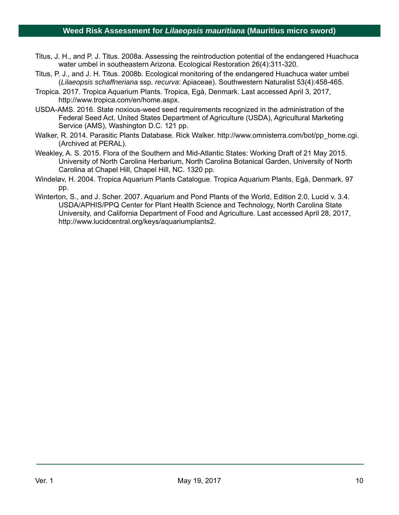- Titus, J. H., and P. J. Titus. 2008a. Assessing the reintroduction potential of the endangered Huachuca water umbel in southeastern Arizona. Ecological Restoration 26(4):311-320.
- Titus, P. J., and J. H. Titus. 2008b. Ecological monitoring of the endangered Huachuca water umbel (*Lilaeopsis schaffneriana* ssp. *recurva*: Apiaceae). Southwestern Naturalist 53(4):458-465.
- Tropica. 2017. Tropica Aquarium Plants. Tropica, Egå, Denmark. Last accessed April 3, 2017, http://www.tropica.com/en/home.aspx.
- USDA-AMS. 2016. State noxious-weed seed requirements recognized in the administration of the Federal Seed Act. United States Department of Agriculture (USDA), Agricultural Marketing Service (AMS), Washington D.C. 121 pp.
- Walker, R. 2014. Parasitic Plants Database. Rick Walker. http://www.omnisterra.com/bot/pp\_home.cgi. (Archived at PERAL).
- Weakley, A. S. 2015. Flora of the Southern and Mid-Atlantic States: Working Draft of 21 May 2015. University of North Carolina Herbarium, North Carolina Botanical Garden, University of North Carolina at Chapel Hill, Chapel Hill, NC. 1320 pp.
- Windeløv, H. 2004. Tropica Aquarium Plants Catalogue. Tropica Aquarium Plants, Egå, Denmark. 97 pp.
- Winterton, S., and J. Scher. 2007. Aquarium and Pond Plants of the World, Edition 2.0, Lucid v. 3.4. USDA/APHIS/PPQ Center for Plant Health Science and Technology, North Carolina State University, and California Department of Food and Agriculture. Last accessed April 28, 2017, http://www.lucidcentral.org/keys/aquariumplants2.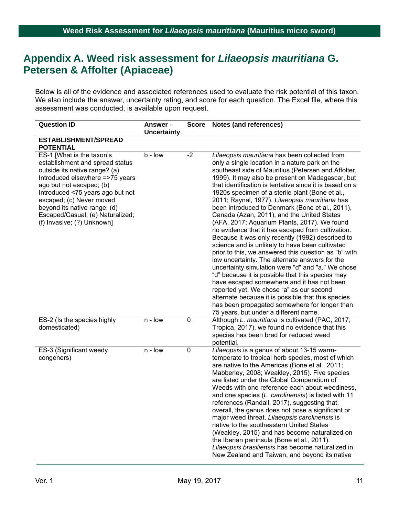## **Appendix A. Weed risk assessment for** *Lilaeopsis mauritiana* **G. Petersen & Affolter (Apiaceae)**

Below is all of the evidence and associated references used to evaluate the risk potential of this taxon. We also include the answer, uncertainty rating, and score for each question. The Excel file, where this assessment was conducted, is available upon request.

| <b>Question ID</b>                                                                                                                                                                                                                                                                                                             | <b>Answer -</b><br><b>Uncertainty</b> | <b>Score</b>   | Notes (and references)                                                                                                                                                                                                                                                                                                                                                                                                                                                                                                                                                                                                                                                                                                                                                                                                                                                                                                                                                                                                                                                                                                                               |
|--------------------------------------------------------------------------------------------------------------------------------------------------------------------------------------------------------------------------------------------------------------------------------------------------------------------------------|---------------------------------------|----------------|------------------------------------------------------------------------------------------------------------------------------------------------------------------------------------------------------------------------------------------------------------------------------------------------------------------------------------------------------------------------------------------------------------------------------------------------------------------------------------------------------------------------------------------------------------------------------------------------------------------------------------------------------------------------------------------------------------------------------------------------------------------------------------------------------------------------------------------------------------------------------------------------------------------------------------------------------------------------------------------------------------------------------------------------------------------------------------------------------------------------------------------------------|
| <b>ESTABLISHMENT/SPREAD</b><br><b>POTENTIAL</b>                                                                                                                                                                                                                                                                                |                                       |                |                                                                                                                                                                                                                                                                                                                                                                                                                                                                                                                                                                                                                                                                                                                                                                                                                                                                                                                                                                                                                                                                                                                                                      |
| ES-1 [What is the taxon's<br>establishment and spread status<br>outside its native range? (a)<br>Introduced elsewhere =>75 years<br>ago but not escaped; (b)<br>Introduced <75 years ago but not<br>escaped; (c) Never moved<br>beyond its native range; (d)<br>Escaped/Casual; (e) Naturalized;<br>(f) Invasive; (?) Unknown] | $b - low$                             | $-2$           | Lilaeopsis mauritiana has been collected from<br>only a single location in a nature park on the<br>southeast side of Mauritius (Petersen and Affolter,<br>1999). It may also be present on Madagascar, but<br>that identification is tentative since it is based on a<br>1920s specimen of a sterile plant (Bone et al.,<br>2011; Raynal, 1977). Lilaeopsis mauritiana has<br>been introduced to Denmark (Bone et al., 2011),<br>Canada (Azan, 2011), and the United States<br>(AFA, 2017; Aquarium Plants, 2017). We found<br>no evidence that it has escaped from cultivation.<br>Because it was only recently (1992) described to<br>science and is unlikely to have been cultivated<br>prior to this, we answered this question as "b" with<br>low uncertainty. The alternate answers for the<br>uncertainty simulation were "d" and "a." We chose<br>"d" because it is possible that this species may<br>have escaped somewhere and it has not been<br>reported yet. We chose "a" as our second<br>alternate because it is possible that this species<br>has been propagated somewhere for longer than<br>75 years, but under a different name. |
| ES-2 (Is the species highly<br>domesticated)                                                                                                                                                                                                                                                                                   | n - Iow                               | $\overline{0}$ | Although L. mauritiana is cultivated (PAC, 2017;<br>Tropica, 2017), we found no evidence that this<br>species has been bred for reduced weed<br>potential.                                                                                                                                                                                                                                                                                                                                                                                                                                                                                                                                                                                                                                                                                                                                                                                                                                                                                                                                                                                           |
| ES-3 (Significant weedy<br>congeners)                                                                                                                                                                                                                                                                                          | n - Iow                               | $\mathbf 0$    | Lilaeopsis is a genus of about 13-15 warm-<br>temperate to tropical herb species, most of which<br>are native to the Americas (Bone et al., 2011;<br>Mabberley, 2008; Weakley, 2015). Five species<br>are listed under the Global Compendium of<br>Weeds with one reference each about weediness,<br>and one species (L. carolinensis) is listed with 11<br>references (Randall, 2017), suggesting that,<br>overall, the genus does not pose a significant or<br>major weed threat. Lilaeopsis carolinensis is<br>native to the southeastern United States<br>(Weakley, 2015) and has become naturalized on<br>the Iberian peninsula (Bone et al., 2011).<br>Lilaeopsis brasiliensis has become naturalized in<br>New Zealand and Taiwan, and beyond its native                                                                                                                                                                                                                                                                                                                                                                                      |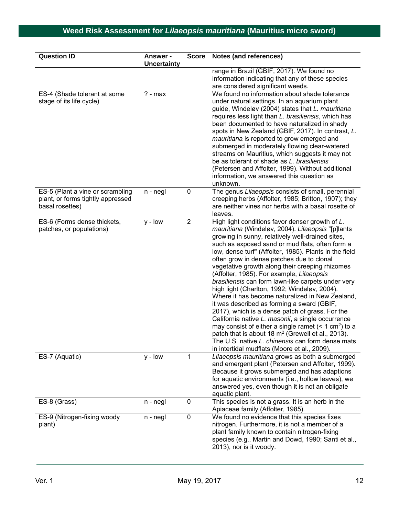| <b>Question ID</b>                                                                       | <b>Answer -</b><br><b>Uncertainty</b> | <b>Score</b>   | Notes (and references)                                                                                                                                                                                                                                                                                                                                                                                                                                                                                                                                                                                                                                                                                                                                                                                                                                                                                                                                         |
|------------------------------------------------------------------------------------------|---------------------------------------|----------------|----------------------------------------------------------------------------------------------------------------------------------------------------------------------------------------------------------------------------------------------------------------------------------------------------------------------------------------------------------------------------------------------------------------------------------------------------------------------------------------------------------------------------------------------------------------------------------------------------------------------------------------------------------------------------------------------------------------------------------------------------------------------------------------------------------------------------------------------------------------------------------------------------------------------------------------------------------------|
|                                                                                          |                                       |                | range in Brazil (GBIF, 2017). We found no<br>information indicating that any of these species<br>are considered significant weeds.                                                                                                                                                                                                                                                                                                                                                                                                                                                                                                                                                                                                                                                                                                                                                                                                                             |
| ES-4 (Shade tolerant at some<br>stage of its life cycle)                                 | $? - max$                             |                | We found no information about shade tolerance<br>under natural settings. In an aquarium plant<br>guide, Windeløv (2004) states that L. mauritiana<br>requires less light than L. brasiliensis, which has<br>been documented to have naturalized in shady<br>spots in New Zealand (GBIF, 2017). In contrast, L.<br>mauritiana is reported to grow emerged and<br>submerged in moderately flowing clear-watered<br>streams on Mauritius, which suggests it may not<br>be as tolerant of shade as L. brasiliensis<br>(Petersen and Affolter, 1999). Without additional<br>information, we answered this question as<br>unknown.                                                                                                                                                                                                                                                                                                                                   |
| ES-5 (Plant a vine or scrambling<br>plant, or forms tightly appressed<br>basal rosettes) | $n - negl$                            | $\pmb{0}$      | The genus Lilaeopsis consists of small, perennial<br>creeping herbs (Affolter, 1985; Britton, 1907); they<br>are neither vines nor herbs with a basal rosette of<br>leaves.                                                                                                                                                                                                                                                                                                                                                                                                                                                                                                                                                                                                                                                                                                                                                                                    |
| ES-6 (Forms dense thickets,<br>patches, or populations)                                  | $y - low$                             | $\overline{2}$ | High light conditions favor denser growth of L.<br>mauritiana (Windeløv, 2004). Lilaeopsis "[p]lants<br>growing in sunny, relatively well-drained sites,<br>such as exposed sand or mud flats, often form a<br>low, dense turf" (Affolter, 1985). Plants in the field<br>often grow in dense patches due to clonal<br>vegetative growth along their creeping rhizomes<br>(Affolter, 1985). For example, Lilaeopsis<br>brasiliensis can form lawn-like carpets under very<br>high light (Charlton, 1992; Windeløv, 2004).<br>Where it has become naturalized in New Zealand,<br>it was described as forming a sward (GBIF,<br>2017), which is a dense patch of grass. For the<br>California native L. masonii, a single occurrence<br>may consist of either a single ramet $(< 1 \text{ cm}^2)$ to a<br>patch that is about 18 $m2$ (Grewell et al., 2013).<br>The U.S. native L. chinensis can form dense mats<br>in intertidal mudflats (Moore et al., 2009). |
| ES-7 (Aquatic)                                                                           | $y - low$                             | 1              | Lilaeopsis mauritiana grows as both a submerged<br>and emergent plant (Petersen and Affolter, 1999).<br>Because it grows submerged and has adaptions<br>for aquatic environments (i.e., hollow leaves), we<br>answered yes, even though it is not an obligate<br>aquatic plant.                                                                                                                                                                                                                                                                                                                                                                                                                                                                                                                                                                                                                                                                                |
| ES-8 (Grass)                                                                             | $n - negl$                            | $\pmb{0}$      | This species is not a grass. It is an herb in the<br>Apiaceae family (Affolter, 1985).                                                                                                                                                                                                                                                                                                                                                                                                                                                                                                                                                                                                                                                                                                                                                                                                                                                                         |
| ES-9 (Nitrogen-fixing woody<br>plant)                                                    | $n - negl$                            | $\mathbf 0$    | We found no evidence that this species fixes<br>nitrogen. Furthermore, it is not a member of a<br>plant family known to contain nitrogen-fixing<br>species (e.g., Martin and Dowd, 1990; Santi et al.,<br>2013), nor is it woody.                                                                                                                                                                                                                                                                                                                                                                                                                                                                                                                                                                                                                                                                                                                              |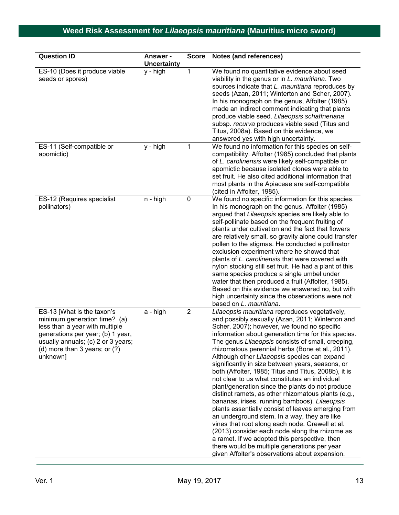| <b>Question ID</b>                                                                                                                                                                                                       | Answer -<br><b>Uncertainty</b> | <b>Score</b>   | Notes (and references)                                                                                                                                                                                                                                                                                                                                                                                                                                                                                                                                                                                                                                                                                                                                                                                                                                                                                                                                                                                                                                   |
|--------------------------------------------------------------------------------------------------------------------------------------------------------------------------------------------------------------------------|--------------------------------|----------------|----------------------------------------------------------------------------------------------------------------------------------------------------------------------------------------------------------------------------------------------------------------------------------------------------------------------------------------------------------------------------------------------------------------------------------------------------------------------------------------------------------------------------------------------------------------------------------------------------------------------------------------------------------------------------------------------------------------------------------------------------------------------------------------------------------------------------------------------------------------------------------------------------------------------------------------------------------------------------------------------------------------------------------------------------------|
| ES-10 (Does it produce viable<br>seeds or spores)                                                                                                                                                                        | y - high                       | 1              | We found no quantitative evidence about seed<br>viability in the genus or in L. mauritiana. Two<br>sources indicate that L. mauritiana reproduces by<br>seeds (Azan, 2011; Winterton and Scher, 2007).<br>In his monograph on the genus, Affolter (1985)<br>made an indirect comment indicating that plants<br>produce viable seed. Lilaeopsis schaffneriana<br>subsp. recurva produces viable seed (Titus and<br>Titus, 2008a). Based on this evidence, we<br>answered yes with high uncertainty.                                                                                                                                                                                                                                                                                                                                                                                                                                                                                                                                                       |
| ES-11 (Self-compatible or<br>apomictic)                                                                                                                                                                                  | y - high                       | 1              | We found no information for this species on self-<br>compatibility. Affolter (1985) concluded that plants<br>of L. carolinensis were likely self-compatible or<br>apomictic because isolated clones were able to<br>set fruit. He also cited additional information that<br>most plants in the Apiaceae are self-compatible<br>(cited in Affolter, 1985).                                                                                                                                                                                                                                                                                                                                                                                                                                                                                                                                                                                                                                                                                                |
| ES-12 (Requires specialist<br>pollinators)                                                                                                                                                                               | $n - high$                     | $\pmb{0}$      | We found no specific information for this species.<br>In his monograph on the genus, Affolter (1985)<br>argued that Lilaeopsis species are likely able to<br>self-pollinate based on the frequent fruiting of<br>plants under cultivation and the fact that flowers<br>are relatively small, so gravity alone could transfer<br>pollen to the stigmas. He conducted a pollinator<br>exclusion experiment where he showed that<br>plants of L. carolinensis that were covered with<br>nylon stocking still set fruit. He had a plant of this<br>same species produce a single umbel under<br>water that then produced a fruit (Affolter, 1985).<br>Based on this evidence we answered no, but with<br>high uncertainty since the observations were not<br>based on L. mauritiana.                                                                                                                                                                                                                                                                         |
| ES-13 [What is the taxon's<br>minimum generation time? (a)<br>less than a year with multiple<br>generations per year; (b) 1 year,<br>usually annuals; (c) 2 or 3 years;<br>(d) more than $3$ years; or $(?)$<br>unknown] | a - high                       | $\overline{2}$ | Lilaeopsis mauritiana reproduces vegetatively,<br>and possibly sexually (Azan, 2011; Winterton and<br>Scher, 2007); however, we found no specific<br>information about generation time for this species.<br>The genus Lilaeopsis consists of small, creeping<br>rhizomatous perennial herbs (Bone et al., 2011).<br>Although other Lilaeopsis species can expand<br>significantly in size between years, seasons, or<br>both (Affolter, 1985; Titus and Titus, 2008b), it is<br>not clear to us what constitutes an individual<br>plant/generation since the plants do not produce<br>distinct ramets, as other rhizomatous plants (e.g.,<br>bananas, irises, running bamboos). Lilaeopsis<br>plants essentially consist of leaves emerging from<br>an underground stem. In a way, they are like<br>vines that root along each node. Grewell et al.<br>(2013) consider each node along the rhizome as<br>a ramet. If we adopted this perspective, then<br>there would be multiple generations per year<br>given Affolter's observations about expansion. |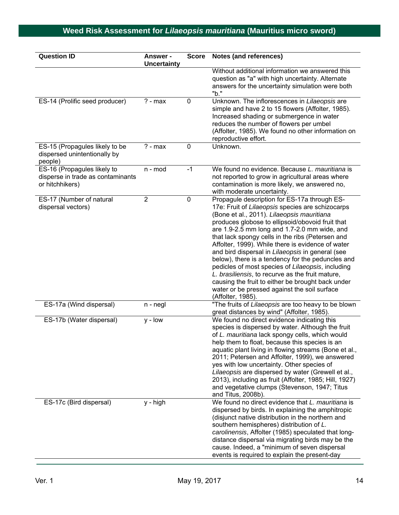| <b>Question ID</b>                                                                  | <b>Answer -</b><br><b>Uncertainty</b> | <b>Score</b> | Notes (and references)                                                                                                                                                                                                                                                                                                                                                                                                                                                                                                                                                                                                                                                                                  |
|-------------------------------------------------------------------------------------|---------------------------------------|--------------|---------------------------------------------------------------------------------------------------------------------------------------------------------------------------------------------------------------------------------------------------------------------------------------------------------------------------------------------------------------------------------------------------------------------------------------------------------------------------------------------------------------------------------------------------------------------------------------------------------------------------------------------------------------------------------------------------------|
|                                                                                     |                                       |              | Without additional information we answered this<br>question as "a" with high uncertainty. Alternate<br>answers for the uncertainty simulation were both<br>"b."                                                                                                                                                                                                                                                                                                                                                                                                                                                                                                                                         |
| ES-14 (Prolific seed producer)                                                      | $? - max$                             | 0            | Unknown. The inflorescences in Lilaeopsis are<br>simple and have 2 to 15 flowers (Affolter, 1985).<br>Increased shading or submergence in water<br>reduces the number of flowers per umbel<br>(Affolter, 1985). We found no other information on<br>reproductive effort.                                                                                                                                                                                                                                                                                                                                                                                                                                |
| ES-15 (Propagules likely to be<br>dispersed unintentionally by<br>people)           | $? - max$                             | 0            | Unknown.                                                                                                                                                                                                                                                                                                                                                                                                                                                                                                                                                                                                                                                                                                |
| ES-16 (Propagules likely to<br>disperse in trade as contaminants<br>or hitchhikers) | n - mod                               | $-1$         | We found no evidence. Because L. mauritiana is<br>not reported to grow in agricultural areas where<br>contamination is more likely, we answered no,<br>with moderate uncertainty.                                                                                                                                                                                                                                                                                                                                                                                                                                                                                                                       |
| ES-17 (Number of natural<br>dispersal vectors)                                      | $\overline{2}$                        | 0            | Propagule description for ES-17a through ES-<br>17e: Fruit of Lilaeopsis species are schizocarps<br>(Bone et al., 2011). Lilaeopsis mauritiana<br>produces globose to ellipsoid/obovoid fruit that<br>are 1.9-2.5 mm long and 1.7-2.0 mm wide, and<br>that lack spongy cells in the ribs (Petersen and<br>Affolter, 1999). While there is evidence of water<br>and bird dispersal in Lilaeopsis in general (see<br>below), there is a tendency for the peduncles and<br>pedicles of most species of Lilaeopsis, including<br>L. brasiliensis, to recurve as the fruit mature,<br>causing the fruit to either be brought back under<br>water or be pressed against the soil surface<br>(Affolter, 1985). |
| ES-17a (Wind dispersal)                                                             | $n - negl$                            |              | "The fruits of Lilaeopsis are too heavy to be blown<br>great distances by wind" (Affolter, 1985).                                                                                                                                                                                                                                                                                                                                                                                                                                                                                                                                                                                                       |
| ES-17b (Water dispersal)                                                            | $y - low$                             |              | We found no direct evidence indicating this<br>species is dispersed by water. Although the fruit<br>of L. mauritiana lack spongy cells, which would<br>help them to float, because this species is an<br>aquatic plant living in flowing streams (Bone et al.,<br>2011; Petersen and Affolter, 1999), we answered<br>yes with low uncertainty. Other species of<br>Lilaeopsis are dispersed by water (Grewell et al.,<br>2013), including as fruit (Affolter, 1985; Hill, 1927)<br>and vegetative clumps (Stevenson, 1947; Titus<br>and Titus, 2008b).                                                                                                                                                  |
| ES-17c (Bird dispersal)                                                             | y - high                              |              | We found no direct evidence that L. mauritiana is<br>dispersed by birds. In explaining the amphitropic<br>(disjunct native distribution in the northern and<br>southern hemispheres) distribution of L.<br>carolinensis, Affolter (1985) speculated that long-<br>distance dispersal via migrating birds may be the<br>cause. Indeed, a "minimum of seven dispersal<br>events is required to explain the present-day                                                                                                                                                                                                                                                                                    |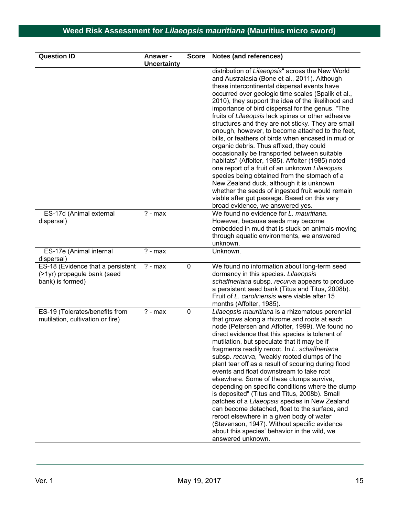| <b>Question ID</b>                                                                   | <b>Answer -</b><br><b>Uncertainty</b> | <b>Score</b> | <b>Notes (and references)</b>                                                                                                                                                                                                                                                                                                                                                                                                                                                                                                                                                                                                                                                                                                                                                                                                                                                                                                                                                  |
|--------------------------------------------------------------------------------------|---------------------------------------|--------------|--------------------------------------------------------------------------------------------------------------------------------------------------------------------------------------------------------------------------------------------------------------------------------------------------------------------------------------------------------------------------------------------------------------------------------------------------------------------------------------------------------------------------------------------------------------------------------------------------------------------------------------------------------------------------------------------------------------------------------------------------------------------------------------------------------------------------------------------------------------------------------------------------------------------------------------------------------------------------------|
|                                                                                      |                                       |              | distribution of Lilaeopsis" across the New World<br>and Australasia (Bone et al., 2011). Although<br>these intercontinental dispersal events have<br>occurred over geologic time scales (Spalik et al.,<br>2010), they support the idea of the likelihood and<br>importance of bird dispersal for the genus. "The<br>fruits of Lilaeopsis lack spines or other adhesive<br>structures and they are not sticky. They are small<br>enough, however, to become attached to the feet,<br>bills, or feathers of birds when encased in mud or<br>organic debris. Thus affixed, they could<br>occasionally be transported between suitable<br>habitats" (Affolter, 1985). Affolter (1985) noted<br>one report of a fruit of an unknown Lilaeopsis<br>species being obtained from the stomach of a<br>New Zealand duck, although it is unknown<br>whether the seeds of ingested fruit would remain<br>viable after gut passage. Based on this very<br>broad evidence, we answered yes. |
| ES-17d (Animal external<br>dispersal)                                                | $? - max$                             |              | We found no evidence for L. mauritiana.<br>However, because seeds may become<br>embedded in mud that is stuck on animals moving<br>through aquatic environments, we answered<br>unknown.                                                                                                                                                                                                                                                                                                                                                                                                                                                                                                                                                                                                                                                                                                                                                                                       |
| ES-17e (Animal internal<br>dispersal)                                                | $? - max$                             |              | Unknown.                                                                                                                                                                                                                                                                                                                                                                                                                                                                                                                                                                                                                                                                                                                                                                                                                                                                                                                                                                       |
| ES-18 (Evidence that a persistent<br>(>1yr) propagule bank (seed<br>bank) is formed) | $? - max$                             | 0            | We found no information about long-term seed<br>dormancy in this species. Lilaeopsis<br>schaffneriana subsp. recurva appears to produce<br>a persistent seed bank (Titus and Titus, 2008b).<br>Fruit of L. carolinensis were viable after 15<br>months (Affolter, 1985).                                                                                                                                                                                                                                                                                                                                                                                                                                                                                                                                                                                                                                                                                                       |
| ES-19 (Tolerates/benefits from<br>mutilation, cultivation or fire)                   | $? - max$                             | 0            | Lilaeopsis mauritiana is a rhizomatous perennial<br>that grows along a rhizome and roots at each<br>node (Petersen and Affolter, 1999). We found no<br>direct evidence that this species is tolerant of<br>mutilation, but speculate that it may be if<br>fragments readily reroot. In L. schaffneriana<br>subsp. recurva, "weakly rooted clumps of the<br>plant tear off as a result of scouring during flood<br>events and float downstream to take root<br>elsewhere. Some of these clumps survive,<br>depending on specific conditions where the clump<br>is deposited" (Titus and Titus, 2008b). Small<br>patches of a Lilaeopsis species in New Zealand<br>can become detached, float to the surface, and<br>reroot elsewhere in a given body of water<br>(Stevenson, 1947). Without specific evidence<br>about this species' behavior in the wild, we<br>answered unknown.                                                                                              |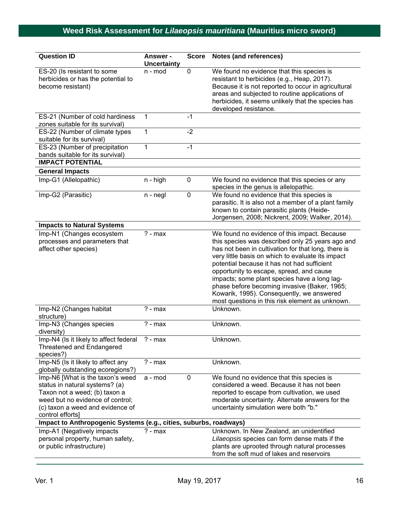| <b>Question ID</b>                                                                                                                                                                              | Answer -<br><b>Uncertainty</b> | <b>Score</b>   | Notes (and references)                                                                                                                                                                                                                                                                                                                                                                                                                                                                                  |
|-------------------------------------------------------------------------------------------------------------------------------------------------------------------------------------------------|--------------------------------|----------------|---------------------------------------------------------------------------------------------------------------------------------------------------------------------------------------------------------------------------------------------------------------------------------------------------------------------------------------------------------------------------------------------------------------------------------------------------------------------------------------------------------|
| ES-20 (Is resistant to some<br>herbicides or has the potential to<br>become resistant)                                                                                                          | n - mod                        | 0              | We found no evidence that this species is<br>resistant to herbicides (e.g., Heap, 2017).<br>Because it is not reported to occur in agricultural<br>areas and subjected to routine applications of<br>herbicides, it seems unlikely that the species has<br>developed resistance.                                                                                                                                                                                                                        |
| ES-21 (Number of cold hardiness<br>zones suitable for its survival)                                                                                                                             | 1                              | $-1$           |                                                                                                                                                                                                                                                                                                                                                                                                                                                                                                         |
| ES-22 (Number of climate types<br>suitable for its survival)                                                                                                                                    | 1                              | $-2$           |                                                                                                                                                                                                                                                                                                                                                                                                                                                                                                         |
| ES-23 (Number of precipitation<br>bands suitable for its survival)                                                                                                                              | 1                              | $-1$           |                                                                                                                                                                                                                                                                                                                                                                                                                                                                                                         |
| <b>IMPACT POTENTIAL</b>                                                                                                                                                                         |                                |                |                                                                                                                                                                                                                                                                                                                                                                                                                                                                                                         |
| <b>General Impacts</b>                                                                                                                                                                          |                                |                |                                                                                                                                                                                                                                                                                                                                                                                                                                                                                                         |
| Imp-G1 (Allelopathic)                                                                                                                                                                           | $n - high$                     | 0              | We found no evidence that this species or any<br>species in the genus is allelopathic.                                                                                                                                                                                                                                                                                                                                                                                                                  |
| Imp-G2 (Parasitic)                                                                                                                                                                              | $n - negl$                     | $\overline{0}$ | We found no evidence that this species is<br>parasitic. It is also not a member of a plant family<br>known to contain parasitic plants (Heide-<br>Jorgensen, 2008; Nickrent, 2009; Walker, 2014).                                                                                                                                                                                                                                                                                                       |
| <b>Impacts to Natural Systems</b>                                                                                                                                                               |                                |                |                                                                                                                                                                                                                                                                                                                                                                                                                                                                                                         |
| Imp-N1 (Changes ecosystem<br>processes and parameters that<br>affect other species)                                                                                                             | $\overline{?}$ - max           |                | We found no evidence of this impact. Because<br>this species was described only 25 years ago and<br>has not been in cultivation for that long, there is<br>very little basis on which to evaluate its impact<br>potential because it has not had sufficient<br>opportunity to escape, spread, and cause<br>impacts; some plant species have a long lag-<br>phase before becoming invasive (Baker, 1965;<br>Kowarik, 1995). Consequently, we answered<br>most questions in this risk element as unknown. |
| Imp-N2 (Changes habitat<br>structure)                                                                                                                                                           | $? - max$                      |                | Unknown.                                                                                                                                                                                                                                                                                                                                                                                                                                                                                                |
| Imp-N3 (Changes species<br>diversity)                                                                                                                                                           | $? - max$                      |                | Unknown.                                                                                                                                                                                                                                                                                                                                                                                                                                                                                                |
| Imp-N4 (Is it likely to affect federal<br><b>Threatened and Endangered</b><br>species?)                                                                                                         | $? - max$                      |                | Unknown.                                                                                                                                                                                                                                                                                                                                                                                                                                                                                                |
| Imp-N5 (Is it likely to affect any<br>globally outstanding ecoregions?)                                                                                                                         | $? - max$                      |                | Unknown.                                                                                                                                                                                                                                                                                                                                                                                                                                                                                                |
| Imp-N6 [What is the taxon's weed<br>status in natural systems? (a)<br>Taxon not a weed; (b) taxon a<br>weed but no evidence of control;<br>(c) taxon a weed and evidence of<br>control efforts] | a - mod                        | $\pmb{0}$      | We found no evidence that this species is<br>considered a weed. Because it has not been<br>reported to escape from cultivation, we used<br>moderate uncertainty. Alternate answers for the<br>uncertainty simulation were both "b."                                                                                                                                                                                                                                                                     |
| Impact to Anthropogenic Systems (e.g., cities, suburbs, roadways)                                                                                                                               |                                |                |                                                                                                                                                                                                                                                                                                                                                                                                                                                                                                         |
| Imp-A1 (Negatively impacts<br>personal property, human safety,<br>or public infrastructure)                                                                                                     | $? - max$                      |                | Unknown. In New Zealand, an unidentified<br>Lilaeopsis species can form dense mats if the<br>plants are uprooted through natural processes<br>from the soft mud of lakes and reservoirs                                                                                                                                                                                                                                                                                                                 |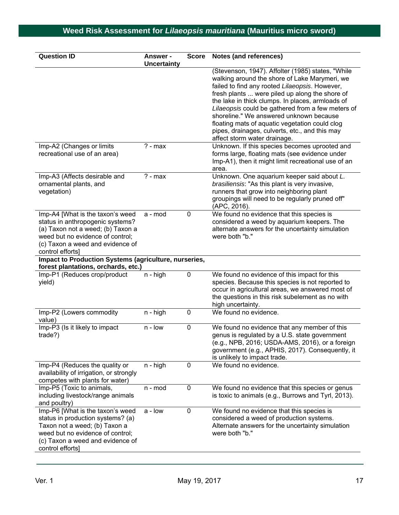| <b>Question ID</b>                                                                                                                                                                                    | <b>Answer -</b><br><b>Uncertainty</b> | <b>Score</b> | Notes (and references)                                                                                                                                                                                                                                                                                                                                                                                                                                                                         |
|-------------------------------------------------------------------------------------------------------------------------------------------------------------------------------------------------------|---------------------------------------|--------------|------------------------------------------------------------------------------------------------------------------------------------------------------------------------------------------------------------------------------------------------------------------------------------------------------------------------------------------------------------------------------------------------------------------------------------------------------------------------------------------------|
|                                                                                                                                                                                                       |                                       |              | (Stevenson, 1947). Affolter (1985) states, "While<br>walking around the shore of Lake Marymeri, we<br>failed to find any rooted Lilaeopsis. However,<br>fresh plants  were piled up along the shore of<br>the lake in thick clumps. In places, armloads of<br>Lilaeopsis could be gathered from a few meters of<br>shoreline." We answered unknown because<br>floating mats of aquatic vegetation could clog<br>pipes, drainages, culverts, etc., and this may<br>affect storm water drainage. |
| Imp-A2 (Changes or limits<br>recreational use of an area)                                                                                                                                             | $? - max$                             |              | Unknown. If this species becomes uprooted and<br>forms large, floating mats (see evidence under<br>Imp-A1), then it might limit recreational use of an<br>area.                                                                                                                                                                                                                                                                                                                                |
| Imp-A3 (Affects desirable and<br>ornamental plants, and<br>vegetation)                                                                                                                                | $? - max$                             |              | Unknown. One aquarium keeper said about L.<br>brasiliensis: "As this plant is very invasive,<br>runners that grow into neighboring plant<br>groupings will need to be regularly pruned off"<br>(APC, 2016).                                                                                                                                                                                                                                                                                    |
| Imp-A4 [What is the taxon's weed<br>status in anthropogenic systems?<br>(a) Taxon not a weed; (b) Taxon a<br>weed but no evidence of control;<br>(c) Taxon a weed and evidence of<br>control efforts] | a - mod                               | $\mathbf 0$  | We found no evidence that this species is<br>considered a weed by aquarium keepers. The<br>alternate answers for the uncertainty simulation<br>were both "b."                                                                                                                                                                                                                                                                                                                                  |
| Impact to Production Systems (agriculture, nurseries,<br>forest plantations, orchards, etc.)                                                                                                          |                                       |              |                                                                                                                                                                                                                                                                                                                                                                                                                                                                                                |
| Imp-P1 (Reduces crop/product<br>yield)                                                                                                                                                                | $n - high$                            | $\mathbf 0$  | We found no evidence of this impact for this<br>species. Because this species is not reported to<br>occur in agricultural areas, we answered most of<br>the questions in this risk subelement as no with<br>high uncertainty.                                                                                                                                                                                                                                                                  |
| Imp-P2 (Lowers commodity<br>value)                                                                                                                                                                    | n - high                              | $\mathbf 0$  | We found no evidence.                                                                                                                                                                                                                                                                                                                                                                                                                                                                          |
| Imp-P3 (Is it likely to impact<br>trade?)                                                                                                                                                             | $n - low$                             | $\mathbf 0$  | We found no evidence that any member of this<br>genus is regulated by a U.S. state government<br>(e.g., NPB, 2016; USDA-AMS, 2016), or a foreign<br>government (e.g., APHIS, 2017). Consequently, it<br>is unlikely to impact trade.                                                                                                                                                                                                                                                           |
| Imp-P4 (Reduces the quality or<br>availability of irrigation, or strongly<br>competes with plants for water)                                                                                          | n - high                              | $\mathbf 0$  | We found no evidence.                                                                                                                                                                                                                                                                                                                                                                                                                                                                          |
| Imp-P5 (Toxic to animals,<br>including livestock/range animals<br>and poultry)                                                                                                                        | n - mod                               | 0            | We found no evidence that this species or genus<br>is toxic to animals (e.g., Burrows and Tyrl, 2013).                                                                                                                                                                                                                                                                                                                                                                                         |
| Imp-P6 [What is the taxon's weed<br>status in production systems? (a)<br>Taxon not a weed; (b) Taxon a<br>weed but no evidence of control;<br>(c) Taxon a weed and evidence of<br>control efforts]    | a - low                               | 0            | We found no evidence that this species is<br>considered a weed of production systems.<br>Alternate answers for the uncertainty simulation<br>were both "b."                                                                                                                                                                                                                                                                                                                                    |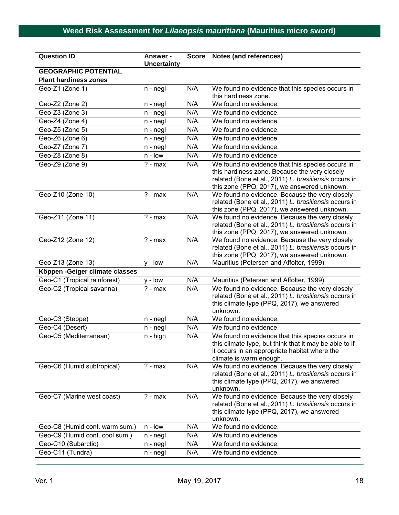| <b>Question ID</b>              | <b>Answer -</b><br><b>Uncertainty</b> | <b>Score</b> | <b>Notes (and references)</b>                                                                                                                                                                             |
|---------------------------------|---------------------------------------|--------------|-----------------------------------------------------------------------------------------------------------------------------------------------------------------------------------------------------------|
| <b>GEOGRAPHIC POTENTIAL</b>     |                                       |              |                                                                                                                                                                                                           |
| <b>Plant hardiness zones</b>    |                                       |              |                                                                                                                                                                                                           |
| Geo-Z1 (Zone 1)                 | $n - negl$                            | N/A          | We found no evidence that this species occurs in<br>this hardiness zone.                                                                                                                                  |
| Geo-Z2 (Zone 2)                 | n - negl                              | N/A          | We found no evidence.                                                                                                                                                                                     |
| Geo-Z3 (Zone 3)                 | n - negl                              | N/A          | We found no evidence.                                                                                                                                                                                     |
| Geo-Z4 (Zone 4)                 | $n - negl$                            | N/A          | We found no evidence.                                                                                                                                                                                     |
| Geo-Z5 (Zone 5)                 | $n - negl$                            | N/A          | We found no evidence.                                                                                                                                                                                     |
| Geo-Z6 (Zone 6)                 | $n - negl$                            | N/A          | We found no evidence.                                                                                                                                                                                     |
| Geo-Z7 (Zone 7)                 | $n - negl$                            | N/A          | We found no evidence.                                                                                                                                                                                     |
| Geo-Z8 (Zone 8)                 | n - Iow                               | N/A          | We found no evidence.                                                                                                                                                                                     |
| Geo-Z9 (Zone 9)                 | $? - max$                             | N/A          | We found no evidence that this species occurs in<br>this hardiness zone. Because the very closely<br>related (Bone et al., 2011) L. brasiliensis occurs in<br>this zone (PPQ, 2017), we answered unknown. |
| Geo-Z10 (Zone 10)               | $? - max$                             | N/A          | We found no evidence. Because the very closely<br>related (Bone et al., 2011) L. brasiliensis occurs in<br>this zone (PPQ, 2017), we answered unknown.                                                    |
| Geo-Z11 (Zone 11)               | $? - max$                             | N/A          | We found no evidence. Because the very closely<br>related (Bone et al., 2011) L. brasiliensis occurs in<br>this zone (PPQ, 2017), we answered unknown.                                                    |
| Geo-Z12 (Zone 12)               | $? - max$                             | N/A          | We found no evidence. Because the very closely<br>related (Bone et al., 2011) L. brasiliensis occurs in<br>this zone (PPQ, 2017), we answered unknown.                                                    |
| Geo-Z13 (Zone 13)               | $y - low$                             | N/A          | Mauritius (Petersen and Affolter, 1999).                                                                                                                                                                  |
| Köppen - Geiger climate classes |                                       |              |                                                                                                                                                                                                           |
| Geo-C1 (Tropical rainforest)    | $y - low$                             | N/A          | Mauritius (Petersen and Affolter, 1999).                                                                                                                                                                  |
| Geo-C2 (Tropical savanna)       | $? - max$                             | N/A          | We found no evidence. Because the very closely<br>related (Bone et al., 2011) L. brasiliensis occurs in<br>this climate type (PPQ, 2017), we answered<br>unknown.                                         |
| Geo-C3 (Steppe)                 | n - negl                              | N/A          | We found no evidence.                                                                                                                                                                                     |
| Geo-C4 (Desert)                 | n - negl                              | N/A          | We found no evidence.                                                                                                                                                                                     |
| Geo-C5 (Mediterranean)          | $n - high$                            | N/A          | We found no evidence that this species occurs in<br>this climate type, but think that it may be able to if<br>it occurs in an appropriate habitat where the<br>climate is warm enough.                    |
| Geo-C6 (Humid subtropical)      | $? - max$                             | N/A          | We found no evidence. Because the very closely<br>related (Bone et al., 2011) L. brasiliensis occurs in<br>this climate type (PPQ, 2017), we answered<br>unknown.                                         |
| Geo-C7 (Marine west coast)      | $? - max$                             | N/A          | We found no evidence. Because the very closely<br>related (Bone et al., 2011) L. brasiliensis occurs in<br>this climate type (PPQ, 2017), we answered<br>unknown.                                         |
| Geo-C8 (Humid cont. warm sum.)  | n - Iow                               | N/A          | We found no evidence.                                                                                                                                                                                     |
| Geo-C9 (Humid cont. cool sum.)  | $n - negl$                            | N/A          | We found no evidence.                                                                                                                                                                                     |
| Geo-C10 (Subarctic)             | n - negl                              | N/A          | We found no evidence.                                                                                                                                                                                     |
| Geo-C11 (Tundra)                | n - negl                              | N/A          | We found no evidence.                                                                                                                                                                                     |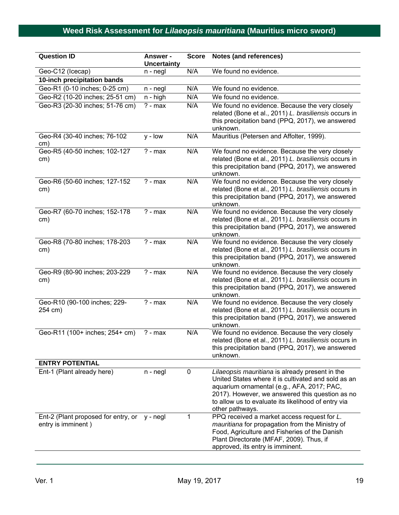| <b>Question ID</b>                                        | <b>Answer -</b><br><b>Uncertainty</b> | <b>Score</b> | Notes (and references)                                                                                                                                                                                                                                                            |
|-----------------------------------------------------------|---------------------------------------|--------------|-----------------------------------------------------------------------------------------------------------------------------------------------------------------------------------------------------------------------------------------------------------------------------------|
| Geo-C12 (Icecap)                                          | n - negl                              | N/A          | We found no evidence.                                                                                                                                                                                                                                                             |
| 10-inch precipitation bands                               |                                       |              |                                                                                                                                                                                                                                                                                   |
| Geo-R1 (0-10 inches; 0-25 cm)                             | n - negl                              | N/A          | We found no evidence.                                                                                                                                                                                                                                                             |
| Geo-R2 (10-20 inches; 25-51 cm)                           | n - high                              | N/A          | We found no evidence.                                                                                                                                                                                                                                                             |
| Geo-R3 (20-30 inches; 51-76 cm)                           | $? - max$                             | N/A          | We found no evidence. Because the very closely<br>related (Bone et al., 2011) L. brasiliensis occurs in<br>this precipitation band (PPQ, 2017), we answered<br>unknown.                                                                                                           |
| Geo-R4 (30-40 inches; 76-102<br>cm)                       | $y - low$                             | N/A          | Mauritius (Petersen and Affolter, 1999).                                                                                                                                                                                                                                          |
| Geo-R5 (40-50 inches; 102-127<br>cm)                      | $? - max$                             | N/A          | We found no evidence. Because the very closely<br>related (Bone et al., 2011) L. brasiliensis occurs in<br>this precipitation band (PPQ, 2017), we answered<br>unknown.                                                                                                           |
| Geo-R6 (50-60 inches; 127-152<br>cm)                      | $? - max$                             | N/A          | We found no evidence. Because the very closely<br>related (Bone et al., 2011) L. brasiliensis occurs in<br>this precipitation band (PPQ, 2017), we answered<br>unknown.                                                                                                           |
| Geo-R7 (60-70 inches; 152-178<br>cm)                      | $? - max$                             | N/A          | We found no evidence. Because the very closely<br>related (Bone et al., 2011) L. brasiliensis occurs in<br>this precipitation band (PPQ, 2017), we answered<br>unknown.                                                                                                           |
| Geo-R8 (70-80 inches; 178-203<br>cm)                      | $? - max$                             | N/A          | We found no evidence. Because the very closely<br>related (Bone et al., 2011) L. brasiliensis occurs in<br>this precipitation band (PPQ, 2017), we answered<br>unknown.                                                                                                           |
| Geo-R9 (80-90 inches; 203-229<br>cm)                      | $? - max$                             | N/A          | We found no evidence. Because the very closely<br>related (Bone et al., 2011) L. brasiliensis occurs in<br>this precipitation band (PPQ, 2017), we answered<br>unknown.                                                                                                           |
| Geo-R10 (90-100 inches; 229-<br>254 cm)                   | $? - max$                             | N/A          | We found no evidence. Because the very closely<br>related (Bone et al., 2011) L. brasiliensis occurs in<br>this precipitation band (PPQ, 2017), we answered<br>unknown.                                                                                                           |
| Geo-R11 (100+ inches; 254+ cm)                            | $? - max$                             | N/A          | We found no evidence. Because the very closely<br>related (Bone et al., 2011) L. brasiliensis occurs in<br>this precipitation band (PPQ, 2017), we answered<br>unknown.                                                                                                           |
| <b>ENTRY POTENTIAL</b>                                    |                                       |              |                                                                                                                                                                                                                                                                                   |
| Ent-1 (Plant already here)                                | n - negl                              | 0            | Lilaeopsis mauritiana is already present in the<br>United States where it is cultivated and sold as an<br>aquarium ornamental (e.g., AFA, 2017; PAC,<br>2017). However, we answered this question as no<br>to allow us to evaluate its likelihood of entry via<br>other pathways. |
| Ent-2 (Plant proposed for entry, or<br>entry is imminent) | y - negl                              | 1            | PPQ received a market access request for L.<br>mauritiana for propagation from the Ministry of<br>Food, Agriculture and Fisheries of the Danish<br>Plant Directorate (MFAF, 2009). Thus, if<br>approved, its entry is imminent.                                                   |